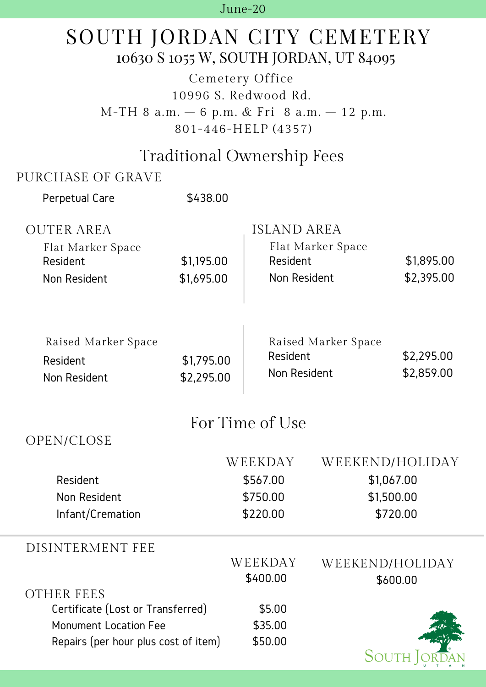#### June-20

# SOUTH JORDAN CITY CEMETERY 10630 S 1055 W, SOUTH JORDAN, UT 84095

Cemetery Office 10996 S. Redwood Rd. M-TH 8 a.m. – 6 p.m. & Fri 8 a.m. – 12 p.m. 801-446-HELP (4357)

### Traditional Ownership Fees

### PURCHASE OF GRAVE

| Perpetual Care                                                       | \$438.00                 |                                |                                     |                          |  |  |
|----------------------------------------------------------------------|--------------------------|--------------------------------|-------------------------------------|--------------------------|--|--|
| <b>OUTER AREA</b><br>Flat Marker Space<br>Resident<br>Non Resident   | \$1,195.00<br>\$1,695.00 | <b>ISLAND AREA</b><br>Resident | Flat Marker Space<br>Non Resident   | \$1,895.00<br>\$2,395.00 |  |  |
| Raised Marker Space<br>Resident<br>Non Resident                      | \$1,795.00<br>\$2,295.00 | Resident                       | Raised Marker Space<br>Non Resident | \$2,295.00<br>\$2,859.00 |  |  |
| For Time of Use                                                      |                          |                                |                                     |                          |  |  |
| OPEN/CLOSE                                                           |                          |                                |                                     |                          |  |  |
|                                                                      |                          | WEEKDAY                        |                                     | WEEKEND/HOLIDAY          |  |  |
| Resident                                                             |                          | \$567.00                       |                                     | \$1,067.00               |  |  |
| Non Resident                                                         |                          | \$750.00                       |                                     | \$1,500.00               |  |  |
| Infant/Cremation                                                     |                          | \$220.00                       |                                     | \$720.00                 |  |  |
| DISINTERMENT FEE                                                     |                          |                                |                                     |                          |  |  |
|                                                                      |                          | WEEKDAY                        |                                     | WEEKEND/HOLIDAY          |  |  |
|                                                                      |                          | \$400.00                       |                                     | \$600.00                 |  |  |
| <b>OTHER FEES</b>                                                    |                          |                                |                                     |                          |  |  |
| Certificate (Lost or Transferred)                                    |                          | \$5.00<br>\$35.00              |                                     |                          |  |  |
| <b>Monument Location Fee</b><br>Repairs (per hour plus cost of item) |                          | \$50.00                        |                                     |                          |  |  |
|                                                                      |                          |                                |                                     | SOUTH                    |  |  |